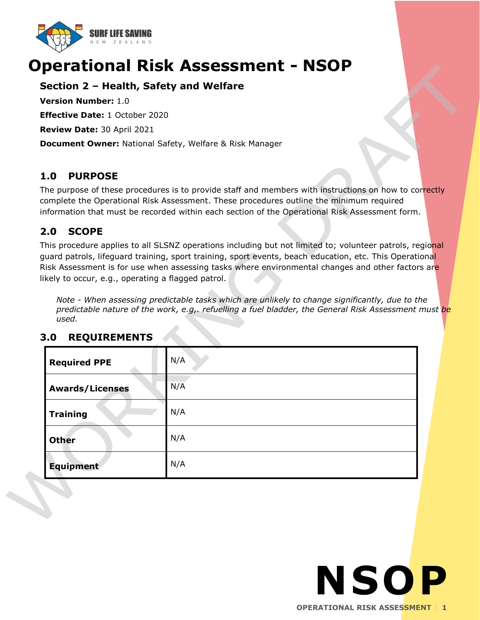

# **Operational Risk Assessment - NSOP**

# **Section 2 – Health, Safety and Welfare**

**Version Number:** 1.0

**Effective Date:** 1 October 2020

**Review Date:** 30 April 2021

**Document Owner:** National Safety, Welfare & Risk Manager

# **1.0 PURPOSE**

The purpose of these procedures is to provide staff and members with instructions on how to correctly complete the Operational Risk Assessment. These procedures outline the minimum required information that must be recorded within each section of the Operational Risk Assessment form.

# **2.0 SCOPE**

This procedure applies to all SLSNZ operations including but not limited to; volunteer patrols, regional guard patrols, lifeguard training, sport training, sport events, beach education, etc. This Operational Risk Assessment is for use when assessing tasks where environmental changes and other factors are likely to occur, e.g., operating a flagged patrol.

*Note - When assessing predictable tasks which are unlikely to change significantly, due to the predictable nature of the work, e.g,. refuelling a fuel bladder, the General Risk Assessment must be used.* 

| <b>Required PPE</b>    | N/A |
|------------------------|-----|
| <b>Awards/Licenses</b> | N/A |
| <b>Training</b>        | N/A |
| <b>Other</b>           | N/A |
| <b>Equipment</b>       | N/A |

# **3.0 REQUIREMENTS**

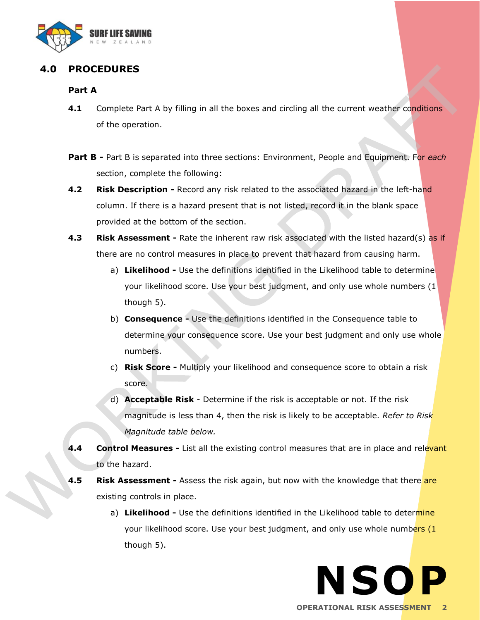

# **4.0 PROCEDURES**

#### **Part A**

- **4.1** Complete Part A by filling in all the boxes and circling all the current weather conditions of the operation.
- **Part B -** Part B is separated into three sections: Environment, People and Equipment. For *each*  section, complete the following:
- **4.2 Risk Description -** Record any risk related to the associated hazard in the left-hand column. If there is a hazard present that is not listed, record it in the blank space provided at the bottom of the section.
- **4.3 Risk Assessment -** Rate the inherent raw risk associated with the listed hazard(s) as if there are no control measures in place to prevent that hazard from causing harm.
	- a) **Likelihood -** Use the definitions identified in the Likelihood table to determine your likelihood score. Use your best judgment, and only use whole numbers (1 though 5).
	- b) **Consequence -** Use the definitions identified in the Consequence table to determine your consequence score. Use your best judgment and only use whole numbers.
	- c) **Risk Score -** Multiply your likelihood and consequence score to obtain a risk score.
	- d) **Acceptable Risk**  Determine if the risk is acceptable or not. If the risk magnitude is less than 4, then the risk is likely to be acceptable. *Refer to Risk Magnitude table below.*
- **4.4 Control Measures** List all the existing control measures that are in place and relevant to the hazard.
- **4.5 Risk Assessment** Assess the risk again, but now with the knowledge that there are existing controls in place.
	- a) **Likelihood -** Use the definitions identified in the Likelihood table to determine your likelihood score. Use your best judgment, and only use whole numbers (1 though 5).

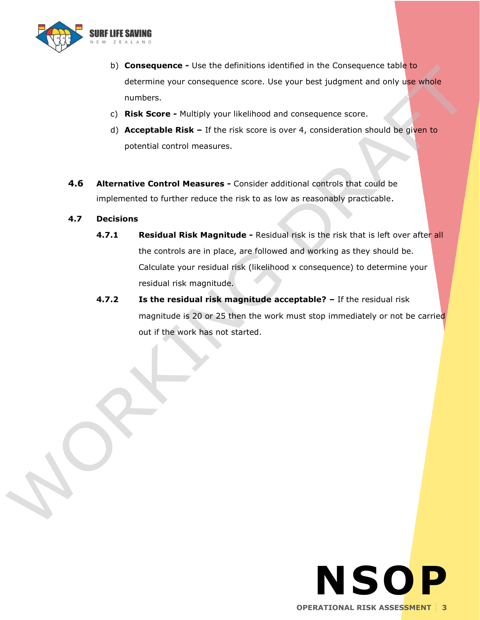

- b) **Consequence -** Use the definitions identified in the Consequence table to determine your consequence score. Use your best judgment and only use whole numbers.
- c) **Risk Score -** Multiply your likelihood and consequence score.
- d) **Acceptable Risk –** If the risk score is over 4, consideration should be given to potential control measures.
- **4.6 Alternative Control Measures -** Consider additional controls that could be implemented to further reduce the risk to as low as reasonably practicable.

#### **4.7 Decisions**

- **4.7.1 Residual Risk Magnitude -** Residual risk is the risk that is left over after all the controls are in place, are followed and working as they should be. Calculate your residual risk (likelihood x consequence) to determine your residual risk magnitude.
- **4.7.2 Is the residual risk magnitude acceptable? –** If the residual risk magnitude is 20 or 25 then the work must stop immediately or not be carried out if the work has not started.

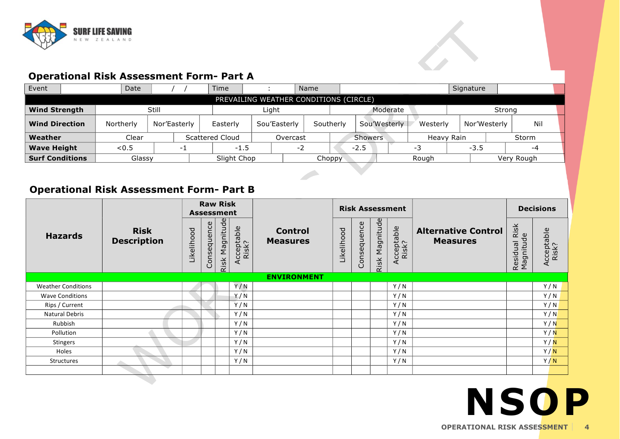

# **Operational Risk Assessment Form- Part A**

| IVM                    | NEW ZEALAND                                     |              |                                        |              |          |           |                               |         |              |              |            |              |       |  |
|------------------------|-------------------------------------------------|--------------|----------------------------------------|--------------|----------|-----------|-------------------------------|---------|--------------|--------------|------------|--------------|-------|--|
|                        | <b>Operational Risk Assessment Form- Part A</b> |              |                                        |              |          |           |                               |         |              |              |            |              |       |  |
| Event                  | Date                                            |              | Time                                   |              |          | Name      |                               |         |              |              | Signature  |              |       |  |
|                        |                                                 |              | PREVAILING WEATHER CONDITIONS (CIRCLE) |              |          |           |                               |         |              |              |            |              |       |  |
| <b>Wind Strength</b>   |                                                 | Still        |                                        | Light        |          |           |                               |         | Moderate     |              |            | Strong       |       |  |
| <b>Wind Direction</b>  | Northerly                                       | Nor'Easterly | Easterly                               | Sou'Easterly |          | Southerly |                               |         | Sou'Westerly | Westerly     |            | Nor'Westerly | Nil   |  |
| Weather                | Clear                                           |              | Scattered Cloud                        |              | Overcast |           |                               | Showers |              |              | Heavy Rain |              | Storm |  |
| <b>Wave Height</b>     | < 0.5                                           | -1           | $-1.5$                                 |              |          | $-2$      |                               | $-2.5$  |              | -3<br>$-3.5$ |            |              | -4    |  |
| <b>Surf Conditions</b> | Glassy                                          |              | Slight Chop                            |              |          |           | $Chopy^{\mathbb{Z}}$<br>Rough |         |              |              |            | Very Rough   |       |  |

# **Operational Risk Assessment Form- Part B**

| <b>Wave Height</b>                              | < 0.5                             | $-1$ |                   |                               | $-1.5$              |        | $-2$                              |            | $-2.5$                 |                |                     | $-3$ | $-3.5$                                        |  |                                   | $-4$                |
|-------------------------------------------------|-----------------------------------|------|-------------------|-------------------------------|---------------------|--------|-----------------------------------|------------|------------------------|----------------|---------------------|------|-----------------------------------------------|--|-----------------------------------|---------------------|
| <b>Surf Conditions</b>                          | Glassy                            |      |                   |                               | Slight Chop         | Choppy |                                   |            |                        | Rough          |                     |      | Very Rough                                    |  |                                   |                     |
| <b>Operational Risk Assessment Form- Part B</b> |                                   |      |                   |                               |                     |        |                                   |            |                        |                |                     |      |                                               |  |                                   |                     |
|                                                 |                                   |      | <b>Assessment</b> | <b>Raw Risk</b>               |                     |        |                                   |            | <b>Risk Assessment</b> |                |                     |      |                                               |  |                                   | <b>Decisions</b>    |
| <b>Hazards</b>                                  | <b>Risk</b><br><b>Description</b> |      | Likelihood        | Risk Magnitude<br>Consequence | Acceptable<br>Risk? |        | <b>Control</b><br><b>Measures</b> | Likelihood | Consequence            | Risk Magnitude | Acceptable<br>Risk? |      | <b>Alternative Control</b><br><b>Measures</b> |  | Risk<br>Residual Ris<br>Magnitude | Acceptable<br>Risk? |
|                                                 |                                   |      |                   |                               |                     |        | <b>ENVIRONMENT</b>                |            |                        |                |                     |      |                                               |  |                                   |                     |
| <b>Weather Conditions</b>                       |                                   |      |                   |                               | Y/N                 |        |                                   |            |                        |                | Y/N                 |      |                                               |  |                                   | Y/N                 |
| <b>Wave Conditions</b>                          |                                   |      |                   |                               | Y / N               |        |                                   |            |                        |                | Y/N                 |      |                                               |  |                                   | Y/N                 |
| Rips / Current                                  |                                   |      |                   |                               | Y/N                 |        |                                   |            |                        |                | Y/N                 |      |                                               |  |                                   | Y/N                 |
| <b>Natural Debris</b>                           |                                   |      |                   |                               | Y/N                 |        |                                   |            |                        |                | Y/N                 |      |                                               |  |                                   | Y/N                 |
| Rubbish                                         |                                   |      |                   |                               | Y/N                 |        |                                   |            |                        |                | Y/N                 |      |                                               |  |                                   | Y/N                 |
| Pollution                                       |                                   |      |                   |                               | Y/N                 |        |                                   |            |                        |                | Y/N                 |      |                                               |  |                                   | Y/N                 |
| <b>Stingers</b>                                 |                                   |      |                   |                               | Y/N                 |        |                                   |            |                        |                | Y/N                 |      |                                               |  |                                   | Y/N                 |
| Holes                                           |                                   |      |                   |                               | Y/N                 |        |                                   |            |                        |                | Y/N                 |      |                                               |  |                                   | Y/N                 |
| Structures                                      | a se                              |      |                   |                               | Y/N                 |        |                                   |            |                        |                | Y/N                 |      |                                               |  |                                   | Y/N                 |
|                                                 |                                   |      |                   |                               |                     |        |                                   |            |                        |                |                     |      |                                               |  |                                   |                     |

# **NSOP OPERATIONAL RISK ASSESSMENT 4**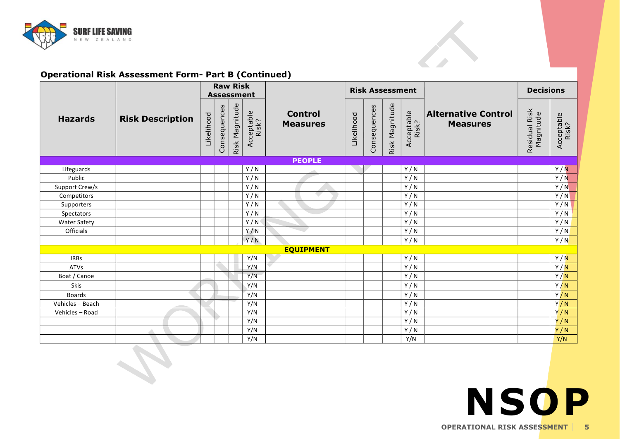

#### **Operational Risk Assessment Form- Part B (Continued)**

| <b>SURF LIFE SAVING</b><br>NEW ZEALAND |                                                             |            |              |                   |                     |                                   |            |              |                        |                     |                                               |                            |                     |
|----------------------------------------|-------------------------------------------------------------|------------|--------------|-------------------|---------------------|-----------------------------------|------------|--------------|------------------------|---------------------|-----------------------------------------------|----------------------------|---------------------|
|                                        | <b>Operational Risk Assessment Form- Part B (Continued)</b> |            |              | <b>Raw Risk</b>   |                     |                                   |            |              |                        |                     |                                               |                            |                     |
|                                        |                                                             |            |              | <b>Assessment</b> |                     |                                   |            |              | <b>Risk Assessment</b> |                     |                                               | <b>Decisions</b>           |                     |
| <b>Hazards</b>                         | <b>Risk Description</b>                                     | Likelihood | Consequences | Risk Magnitude    | Acceptable<br>Risk? | <b>Control</b><br><b>Measures</b> | Likelihood | Consequences | Risk Magnitude         | Acceptable<br>Risk? | <b>Alternative Control</b><br><b>Measures</b> | Residual Risk<br>Magnitude | Acceptable<br>Risk? |
|                                        |                                                             |            |              |                   |                     | <b>PEOPLE</b>                     |            |              |                        |                     |                                               |                            |                     |
| Lifeguards                             |                                                             |            |              |                   | Y/N                 |                                   |            |              |                        | Y/N                 |                                               |                            | Y/N                 |
| Public                                 |                                                             |            |              |                   | Y/N                 |                                   |            |              |                        | Y/N                 |                                               |                            | Y/N                 |
| Support Crew/s                         |                                                             |            |              |                   | Y/N                 |                                   |            |              |                        | Y/N                 |                                               |                            | Y/N                 |
| Competitors                            |                                                             |            |              |                   | Y/N                 |                                   |            |              |                        | Y/N                 |                                               |                            | Y/N                 |
| Supporters                             |                                                             |            |              |                   | Y/N                 |                                   |            |              |                        | Y/N                 |                                               |                            | Y/N                 |
| Spectators                             |                                                             |            |              |                   | Y/N                 |                                   |            |              |                        | Y/N                 |                                               |                            | Y/N                 |
| <b>Water Safety</b>                    |                                                             |            |              |                   | Y/N                 |                                   |            |              |                        | Y/N                 |                                               |                            | Y/N                 |
| <b>Officials</b>                       |                                                             |            |              |                   | Y/N                 |                                   |            |              |                        | Y/N                 |                                               |                            | Y/N                 |
|                                        |                                                             |            |              |                   | Y/N                 |                                   |            |              |                        | Y/N                 |                                               |                            | Y/N                 |
|                                        |                                                             |            |              |                   |                     | <b>EQUIPMENT</b>                  |            |              |                        |                     |                                               |                            |                     |
| <b>IRBs</b>                            |                                                             |            |              |                   | Y/N                 |                                   |            |              |                        | Y/N                 |                                               |                            | Y/N                 |
| <b>ATVs</b>                            |                                                             |            |              |                   | Y/N                 |                                   |            |              |                        | Y/N                 |                                               |                            | Y/N                 |
| Boat / Canoe                           |                                                             |            |              |                   | Y/N                 |                                   |            |              |                        | Y/N                 |                                               |                            | Y/N                 |
| <b>Skis</b>                            |                                                             |            |              |                   | Y/N                 |                                   |            |              |                        | Y/N                 |                                               |                            | Y/N                 |
| <b>Boards</b>                          |                                                             |            |              |                   | Y/N                 |                                   |            |              |                        | Y/N                 |                                               |                            | Y/N                 |
| Vehicles - Beach                       |                                                             |            |              |                   | Y/N                 |                                   |            |              |                        | Y/N                 |                                               |                            | Y/N                 |
| Vehicles - Road                        |                                                             |            |              |                   | Y/N                 |                                   |            |              |                        | Y/N                 |                                               |                            | Y/N                 |
|                                        |                                                             |            |              |                   | Y/N                 |                                   |            |              |                        | Y/N                 |                                               |                            | Y/N                 |
|                                        |                                                             |            |              |                   | Y/N                 |                                   |            |              |                        | Y/N                 |                                               |                            | Y/N                 |
|                                        |                                                             |            |              |                   | Y/N                 |                                   |            |              |                        | Y/N                 |                                               |                            | Y/N                 |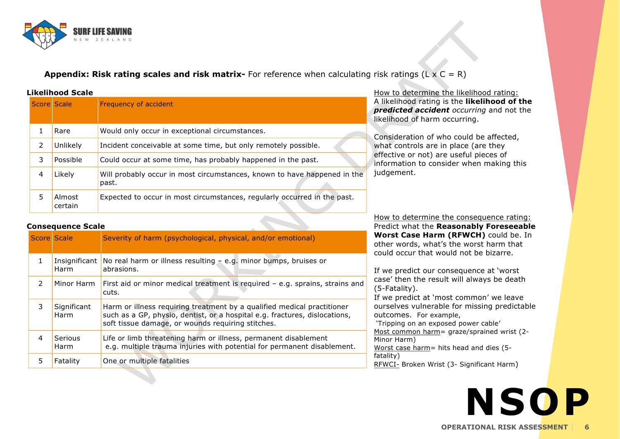

**Appendix: Risk rating scales and risk matrix-** For reference when calculating risk ratings (L x C = R)

|  |  | <b>Likelihood Scale</b> |
|--|--|-------------------------|
|--|--|-------------------------|

| Appendix: Risk rating scales and risk matrix- For reference when calculatin<br><b>Likelihood Scale</b> |                          |                                                                                   |  |  |  |  |  |  |  |
|--------------------------------------------------------------------------------------------------------|--------------------------|-----------------------------------------------------------------------------------|--|--|--|--|--|--|--|
|                                                                                                        | <b>Score Scale</b>       | Frequency of accident                                                             |  |  |  |  |  |  |  |
| $\mathbf{1}$                                                                                           | Rare                     | Would only occur in exceptional circumstances.                                    |  |  |  |  |  |  |  |
| 2                                                                                                      | Unlikely                 | Incident conceivable at some time, but only remotely possible.                    |  |  |  |  |  |  |  |
| 3                                                                                                      | Possible                 | Could occur at some time, has probably happened in the past.                      |  |  |  |  |  |  |  |
| 4                                                                                                      | Likely                   | Will probably occur in most circumstances, known to have happened in the<br>past. |  |  |  |  |  |  |  |
| 5                                                                                                      | Almost<br>certain        | Expected to occur in most circumstances, regularly occurred in the past.          |  |  |  |  |  |  |  |
|                                                                                                        | <b>Consequence Scale</b> |                                                                                   |  |  |  |  |  |  |  |
|                                                                                                        | Score Scale              | Severity of harm (psychological, physical, and/or emotional)                      |  |  |  |  |  |  |  |
|                                                                                                        |                          |                                                                                   |  |  |  |  |  |  |  |

risk ratings  $(L \times C = R)$ <br>How to determine the likelihood rating:<br>A likelihood rating is the **likelihood of** A likelihood rating is the **likelihood of the** *prisk ratings* (L x C = R)<br> *pow to determine the likelihood rating:*<br> *A likelihood rating is the likelihood of the<br>
<i>predicted accident occurring* and not the<br> *dikelihood of harm occurring.* risk ratings  $(L \times C = R)$ <br>How to determine the likelihood rating is the **likelihood** rating is the **likelihood** of harm occurring. How to determine the likelihood rational<br>A likelihood rating is the **likelihood**<br>**predicted accident** occurring and<br>likelihood of harm occurring.<br>Consideration of who could be affect<br>what controls are in place (are they<br>ef

Consideration of who could be affected, effective or not) are useful pieces of information to consider when making this judgement. effective or not) are useful pieces of<br>information to consider when making this<br>judgement.<br>How to determine the consequence rating:<br>Predict what the **Reasonably Foreseeabl** 

| ر                  | AIIIUSL<br>certain       | Expected to occur in most circumstances, regularly occurred in the past.                                                                                                                                   |
|--------------------|--------------------------|------------------------------------------------------------------------------------------------------------------------------------------------------------------------------------------------------------|
|                    | <b>Consequence Scale</b> |                                                                                                                                                                                                            |
| <b>Score Scale</b> |                          | Severity of harm (psychological, physical, and/or emotional)                                                                                                                                               |
| $\mathbf{1}$       | Insignificant<br>Harm    | No real harm or illness resulting $-$ e.g. minor bumps, bruises or<br>abrasions.                                                                                                                           |
| $\mathcal{P}$      | Minor Harm               | First aid or minor medical treatment is required - e.g. sprains, strains and<br>cuts.                                                                                                                      |
| 3                  | Significant<br>Harm      | Harm or illness requiring treatment by a qualified medical practitioner<br>such as a GP, physio, dentist, or a hospital e.g. fractures, dislocations,<br>soft tissue damage, or wounds requiring stitches. |
| 4                  | <b>Serious</b><br>Harm   | Life or limb threatening harm or illness, permanent disablement<br>e.g. multiple trauma injuries with potential for permanent disablement.                                                                 |
| 5                  | Fatality                 | One or multiple fatalities                                                                                                                                                                                 |
|                    |                          |                                                                                                                                                                                                            |

Predict what the **Reasonably Foreseeable How to determine the consequence rating:**<br>**Predict what the Reasonably Foreseeable<br><b>Worst Case Harm (RFWCH)** could be. In<br>other words, what's the worst harm that How to determine the consequence rating<br>Predict what the **Reasonably Foreseeal**<br>Worst Case Harm (RFWCH) could be.<br>other words, what's the worst harm that<br>could occur that would not be bizarre. could occur that would not be bizarre.

If we predict our consequence at 'worst case' then the result will always be death (5-Fatality).

If we predict at 'most common' we leave ourselves vulnerable for missing predictable outcomes. For example,

'Tripping on an exposed power cable' If we predict our consequence at worst<br>case' then the result will always be death<br>(5-Fatality).<br>If we predict at 'most common' we leave<br>ourselves vulnerable for missing predictab<br>outcomes. For example,<br>'Tripping on an expo Case then di<br>
(5-Fatality).<br>
If we predic<br>
ourselves vu<br>
outcomes.<br>
'Tripping on<br>
<u>Most common</u><br>
<u>Worst case has</u> (5-Fatality).<br>If we predict at 'most common' we leadurselves vulnerable for missing pred<br>outcomes. For example,<br>'Tripping on an exposed power cable'<br><u>Most common harm</u>= graze/sprained wrist<br>Minor Harm)<br>Worst case harm= hit fatality) Most common harm = graze/sprained wrist (2-<br>Minor Harm)<br>Worst case harm = hits head and dies (5-<br>fatality)<br>RFWCI- Broken Wrist (3- Significant Harm)